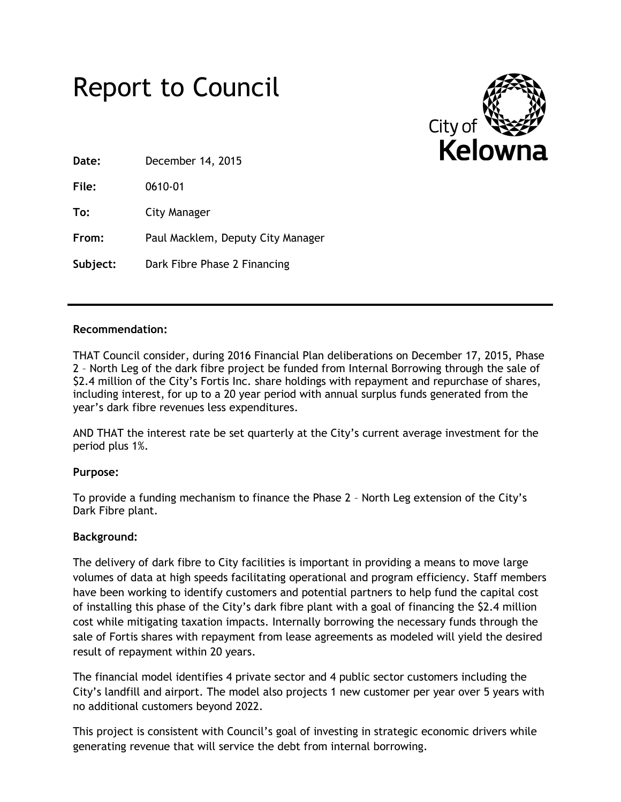



**Date:** December 14, 2015

**File:** 0610-01

**To:** City Manager

**From:** Paul Macklem, Deputy City Manager

**Subject:** Dark Fibre Phase 2 Financing

# **Recommendation:**

THAT Council consider, during 2016 Financial Plan deliberations on December 17, 2015, Phase 2 – North Leg of the dark fibre project be funded from Internal Borrowing through the sale of \$2.4 million of the City's Fortis Inc. share holdings with repayment and repurchase of shares, including interest, for up to a 20 year period with annual surplus funds generated from the year's dark fibre revenues less expenditures.

AND THAT the interest rate be set quarterly at the City's current average investment for the period plus 1%.

# **Purpose:**

To provide a funding mechanism to finance the Phase 2 – North Leg extension of the City's Dark Fibre plant.

# **Background:**

The delivery of dark fibre to City facilities is important in providing a means to move large volumes of data at high speeds facilitating operational and program efficiency. Staff members have been working to identify customers and potential partners to help fund the capital cost of installing this phase of the City's dark fibre plant with a goal of financing the \$2.4 million cost while mitigating taxation impacts. Internally borrowing the necessary funds through the sale of Fortis shares with repayment from lease agreements as modeled will yield the desired result of repayment within 20 years.

The financial model identifies 4 private sector and 4 public sector customers including the City's landfill and airport. The model also projects 1 new customer per year over 5 years with no additional customers beyond 2022.

This project is consistent with Council's goal of investing in strategic economic drivers while generating revenue that will service the debt from internal borrowing.